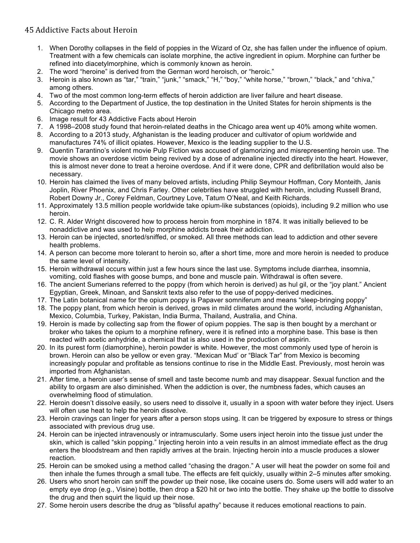## 45 Addictive Facts about Heroin

- 1. When Dorothy collapses in the field of poppies in the Wizard of Oz, she has fallen under the influence of opium. Treatment with a few chemicals can isolate morphine, the active ingredient in opium. Morphine can further be refined into diacetylmorphine, which is commonly known as heroin.
- 2. The word "heroine" is derived from the German word heroisch, or "heroic."
- 3. Heroin is also known as "tar," "train," "junk," "smack," "H," "boy," "white horse," "brown," "black," and "chiva," among others.
- 4. Two of the most common long-term effects of heroin addiction are liver failure and heart disease.
- 5. According to the Department of Justice, the top destination in the United States for heroin shipments is the Chicago metro area.
- 6. Image result for 43 Addictive Facts about Heroin
- 7. A 1998–2008 study found that heroin-related deaths in the Chicago area went up 40% among white women.
- 8. According to a 2013 study, Afghanistan is the leading producer and cultivator of opium worldwide and manufactures 74% of illicit opiates. However, Mexico is the leading supplier to the U.S.
- 9. Quentin Tarantino's violent movie Pulp Fiction was accused of glamorizing and misrepresenting heroin use. The movie shows an overdose victim being revived by a dose of adrenaline injected directly into the heart. However, this is almost never done to treat a heroine overdose. And if it were done, CPR and defibrillation would also be necessary.
- 10. Heroin has claimed the lives of many beloved artists, including Philip Seymour Hoffman, Cory Monteith, Janis Joplin, River Phoenix, and Chris Farley. Other celebrities have struggled with heroin, including Russell Brand, Robert Downy Jr., Corey Feldman, Courtney Love, Tatum O'Neal, and Keith Richards.
- 11. Approximately 13.5 million people worldwide take opium-like substances (opioids), including 9.2 million who use heroin.
- 12. C. R. Alder Wright discovered how to process heroin from morphine in 1874. It was initially believed to be nonaddictive and was used to help morphine addicts break their addiction.
- 13. Heroin can be injected, snorted/sniffed, or smoked. All three methods can lead to addiction and other severe health problems.
- 14. A person can become more tolerant to heroin so, after a short time, more and more heroin is needed to produce the same level of intensity.
- 15. Heroin withdrawal occurs within just a few hours since the last use. Symptoms include diarrhea, insomnia, vomiting, cold flashes with goose bumps, and bone and muscle pain. Withdrawal is often severe.
- 16. The ancient Sumerians referred to the poppy (from which heroin is derived) as hul gil, or the "joy plant." Ancient Egyptian, Greek, Minoan, and Sanskrit texts also refer to the use of poppy-derived medicines.
- 17. The Latin botanical name for the opium poppy is Papaver somniferum and means "sleep-bringing poppy"
- 18. The poppy plant, from which heroin is derived, grows in mild climates around the world, including Afghanistan, Mexico, Columbia, Turkey, Pakistan, India Burma, Thailand, Australia, and China.
- 19. Heroin is made by collecting sap from the flower of opium poppies. The sap is then bought by a merchant or broker who takes the opium to a morphine refinery, were it is refined into a morphine base. This base is then reacted with acetic anhydride, a chemical that is also used in the production of aspirin.
- 20. In its purest form (diamorphine), heroin powder is white. However, the most commonly used type of heroin is brown. Heroin can also be yellow or even gray. "Mexican Mud' or "Black Tar" from Mexico is becoming increasingly popular and profitable as tensions continue to rise in the Middle East. Previously, most heroin was imported from Afghanistan.
- 21. After time, a heroin user's sense of smell and taste become numb and may disappear. Sexual function and the ability to orgasm are also diminished. When the addiction is over, the numbness fades, which causes an overwhelming flood of stimulation.
- 22. Heroin doesn't dissolve easily, so users need to dissolve it, usually in a spoon with water before they inject. Users will often use heat to help the heroin dissolve.
- 23. Heroin cravings can linger for years after a person stops using. It can be triggered by exposure to stress or things associated with previous drug use.
- 24. Heroin can be injected intravenously or intramuscularly. Some users inject heroin into the tissue just under the skin, which is called "skin popping." Injecting heroin into a vein results in an almost immediate effect as the drug enters the bloodstream and then rapidly arrives at the brain. Injecting heroin into a muscle produces a slower reaction.
- 25. Heroin can be smoked using a method called "chasing the dragon." A user will heat the powder on some foil and then inhale the fumes through a small tube. The effects are felt quickly, usually within 2–5 minutes after smoking.
- 26. Users who snort heroin can sniff the powder up their nose, like cocaine users do. Some users will add water to an empty eye drop (e.g., Visine) bottle, then drop a \$20 hit or two into the bottle. They shake up the bottle to dissolve the drug and then squirt the liquid up their nose.
- 27. Some heroin users describe the drug as "blissful apathy" because it reduces emotional reactions to pain.